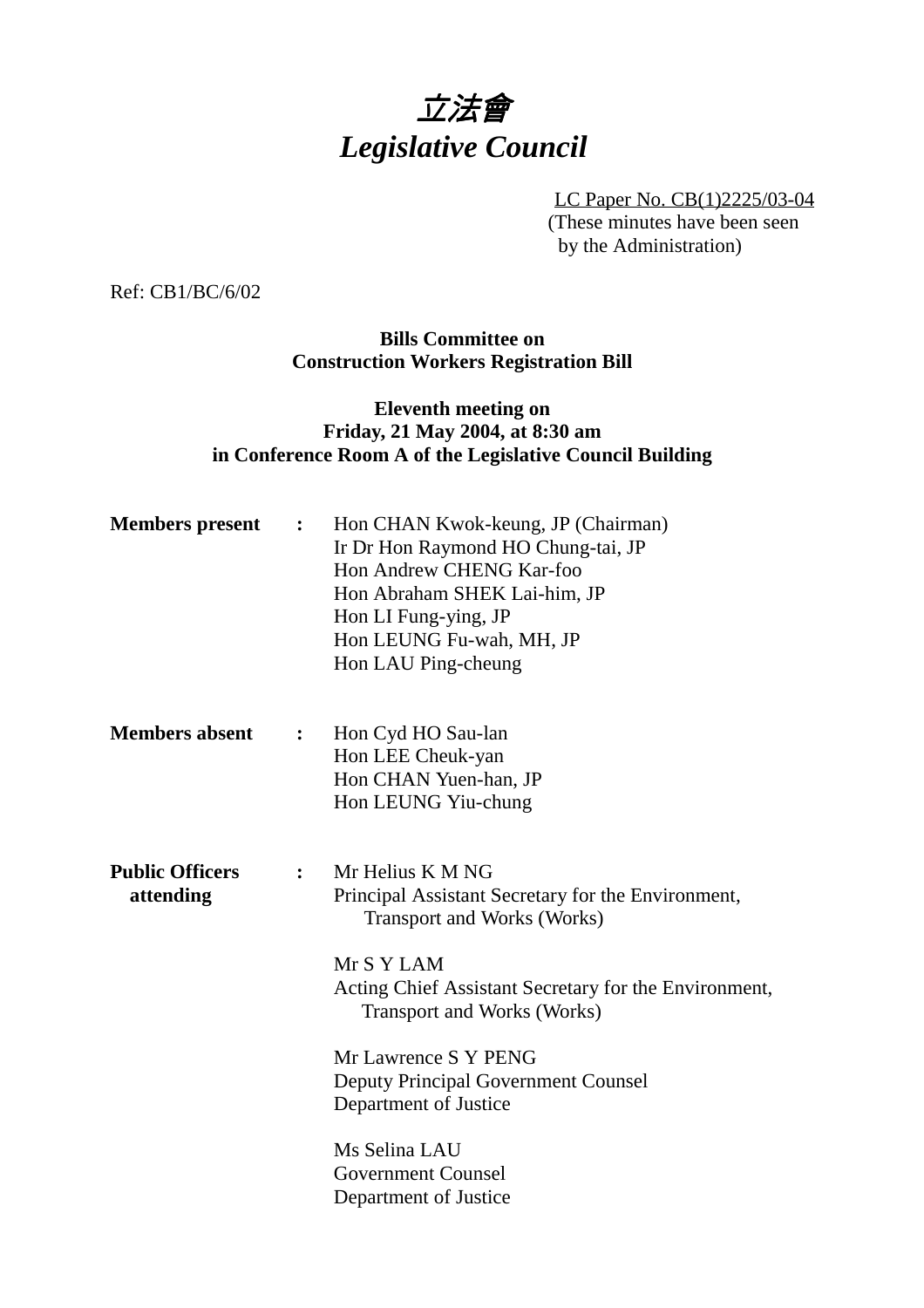# 立法會 *Legislative Council*

LC Paper No. CB(1)2225/03-04 (These minutes have been seen by the Administration)

Ref: CB1/BC/6/02

**Bills Committee on Construction Workers Registration Bill**

## **Eleventh meeting on Friday, 21 May 2004, at 8:30 am in Conference Room A of the Legislative Council Building**

| <b>Members</b> present              | $\ddot{\cdot}$               | Hon CHAN Kwok-keung, JP (Chairman)<br>Ir Dr Hon Raymond HO Chung-tai, JP<br>Hon Andrew CHENG Kar-foo<br>Hon Abraham SHEK Lai-him, JP<br>Hon LI Fung-ying, JP<br>Hon LEUNG Fu-wah, MH, JP<br>Hon LAU Ping-cheung                                                                                                                                                        |
|-------------------------------------|------------------------------|------------------------------------------------------------------------------------------------------------------------------------------------------------------------------------------------------------------------------------------------------------------------------------------------------------------------------------------------------------------------|
| <b>Members absent</b>               | $\overset{\bullet}{\bullet}$ | Hon Cyd HO Sau-lan<br>Hon LEE Cheuk-yan<br>Hon CHAN Yuen-han, JP<br>Hon LEUNG Yiu-chung                                                                                                                                                                                                                                                                                |
| <b>Public Officers</b><br>attending | $\ddot{\cdot}$               | Mr Helius K M NG<br>Principal Assistant Secretary for the Environment,<br><b>Transport and Works (Works)</b><br>Mr S Y LAM<br>Acting Chief Assistant Secretary for the Environment,<br><b>Transport and Works (Works)</b><br>Mr Lawrence S Y PENG<br><b>Deputy Principal Government Counsel</b><br>Department of Justice<br>Ms Selina LAU<br><b>Government Counsel</b> |
|                                     |                              | Department of Justice                                                                                                                                                                                                                                                                                                                                                  |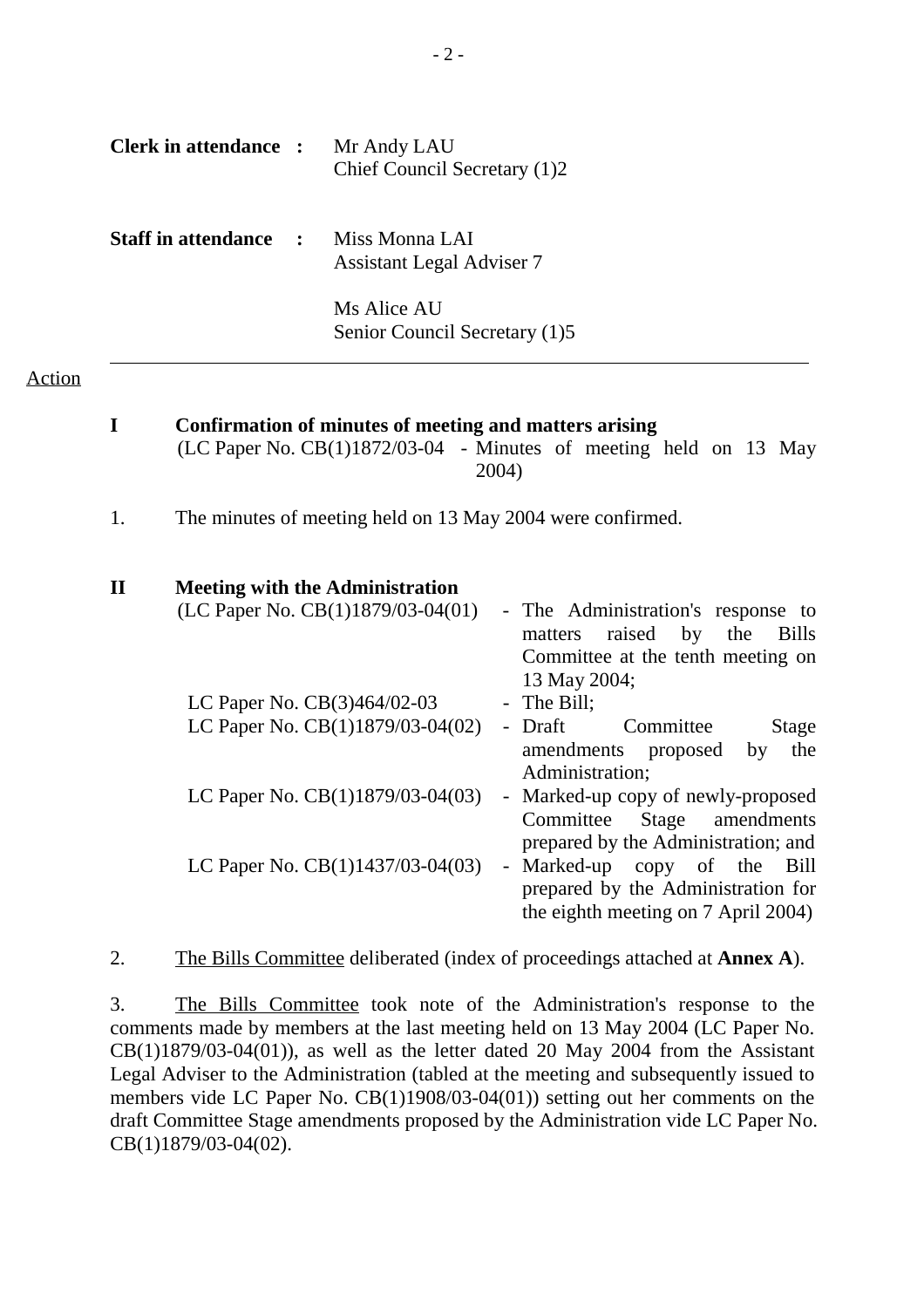| <b>Clerk in attendance :</b> | Mr Andy LAU<br>Chief Council Secretary (1)2        |
|------------------------------|----------------------------------------------------|
| <b>Staff in attendance :</b> | Miss Monna LAI<br><b>Assistant Legal Adviser 7</b> |
|                              | Ms Alice AU<br>Senior Council Secretary (1)5       |

#### Action

| I           | Confirmation of minutes of meeting and matters arising<br>(LC Paper No. $CB(1)1872/03-04$ - Minutes of meeting held on 13 May<br>2004)                                        |
|-------------|-------------------------------------------------------------------------------------------------------------------------------------------------------------------------------|
| 1.          | The minutes of meeting held on 13 May 2004 were confirmed.                                                                                                                    |
| $\mathbf H$ | <b>Meeting with the Administration</b>                                                                                                                                        |
|             | (LC Paper No. CB(1)1879/03-04(01)<br>- The Administration's response to<br>raised by the<br>matters<br><b>Bills</b><br>Committee at the tenth meeting on<br>13 May 2004;      |
|             | - The Bill;<br>LC Paper No. CB(3)464/02-03<br>LC Paper No. CB(1)1879/03-04(02)<br>- Draft<br>Committee<br><b>Stage</b><br>amendments proposed<br>the<br>by<br>Administration; |
|             | LC Paper No. $CB(1)1879/03-04(03)$<br>- Marked-up copy of newly-proposed<br>Stage<br>Committee<br>amendments<br>prepared by the Administration; and                           |
|             | LC Paper No. CB(1)1437/03-04(03)<br>- Marked-up copy of the<br>Bill<br>prepared by the Administration for<br>the eighth meeting on 7 April 2004)                              |

2. The Bills Committee deliberated (index of proceedings attached at **Annex A**).

3. The Bills Committee took note of the Administration's response to the comments made by members at the last meeting held on 13 May 2004 (LC Paper No.  $CB(1)1879/03-04(01)$ , as well as the letter dated 20 May 2004 from the Assistant Legal Adviser to the Administration (tabled at the meeting and subsequently issued to members vide LC Paper No. CB(1)1908/03-04(01)) setting out her comments on the draft Committee Stage amendments proposed by the Administration vide LC Paper No. CB(1)1879/03-04(02).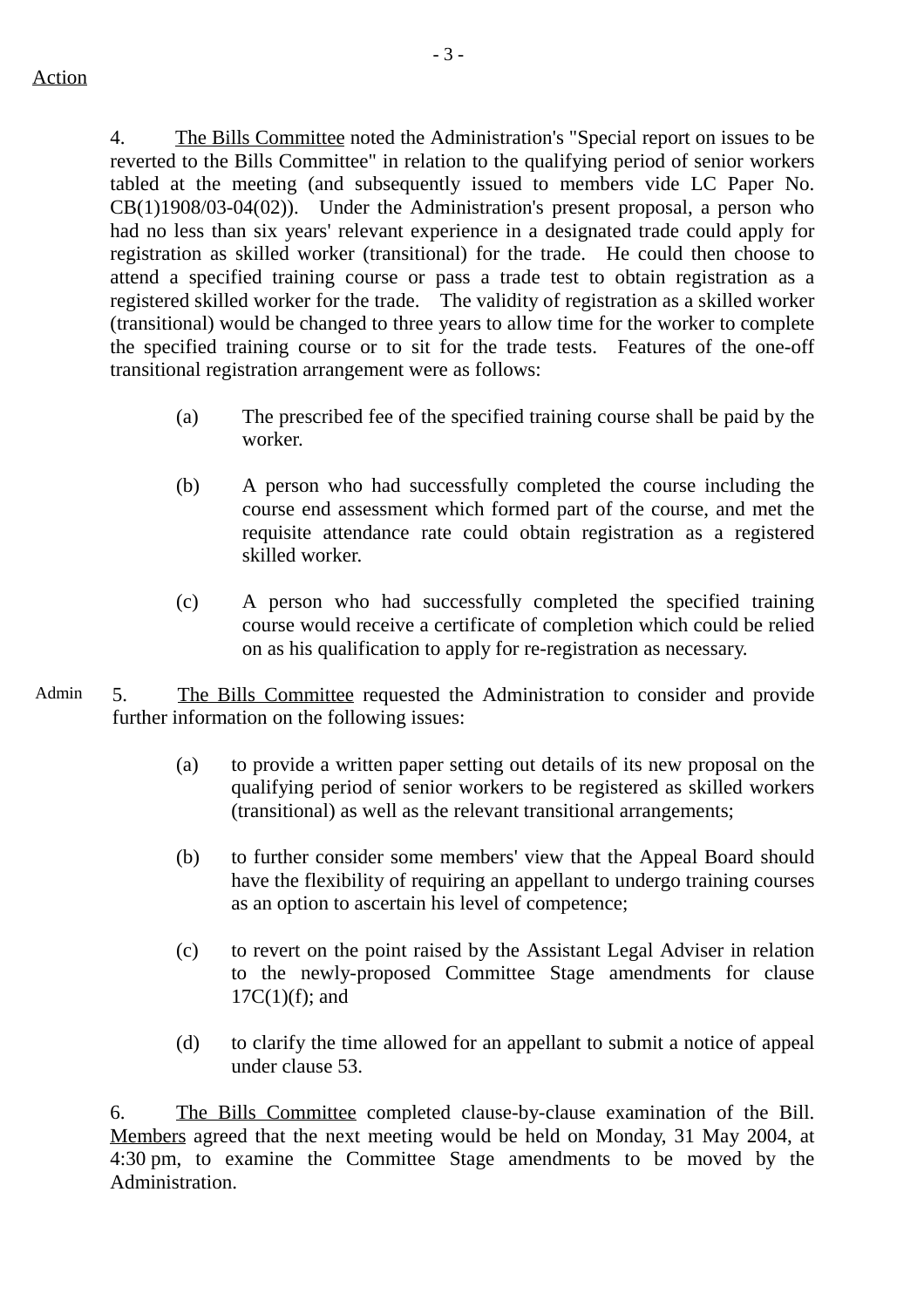4. The Bills Committee noted the Administration's "Special report on issues to be reverted to the Bills Committee" in relation to the qualifying period of senior workers tabled at the meeting (and subsequently issued to members vide LC Paper No. CB(1)1908/03-04(02)). Under the Administration's present proposal, a person who had no less than six years' relevant experience in a designated trade could apply for registration as skilled worker (transitional) for the trade. He could then choose to attend a specified training course or pass a trade test to obtain registration as a registered skilled worker for the trade. The validity of registration as a skilled worker (transitional) would be changed to three years to allow time for the worker to complete the specified training course or to sit for the trade tests. Features of the one-off transitional registration arrangement were as follows:

- (a) The prescribed fee of the specified training course shall be paid by the worker.
- (b) A person who had successfully completed the course including the course end assessment which formed part of the course, and met the requisite attendance rate could obtain registration as a registered skilled worker.
- (c) A person who had successfully completed the specified training course would receive a certificate of completion which could be relied on as his qualification to apply for re-registration as necessary.
- Admin 5. The Bills Committee requested the Administration to consider and provide further information on the following issues:
	- (a) to provide a written paper setting out details of its new proposal on the qualifying period of senior workers to be registered as skilled workers (transitional) as well as the relevant transitional arrangements;
	- (b) to further consider some members' view that the Appeal Board should have the flexibility of requiring an appellant to undergo training courses as an option to ascertain his level of competence;
	- (c) to revert on the point raised by the Assistant Legal Adviser in relation to the newly-proposed Committee Stage amendments for clause  $17C(1)(f)$ ; and
	- (d) to clarify the time allowed for an appellant to submit a notice of appeal under clause 53.

6. The Bills Committee completed clause-by-clause examination of the Bill. Members agreed that the next meeting would be held on Monday, 31 May 2004, at 4:30 pm, to examine the Committee Stage amendments to be moved by the Administration.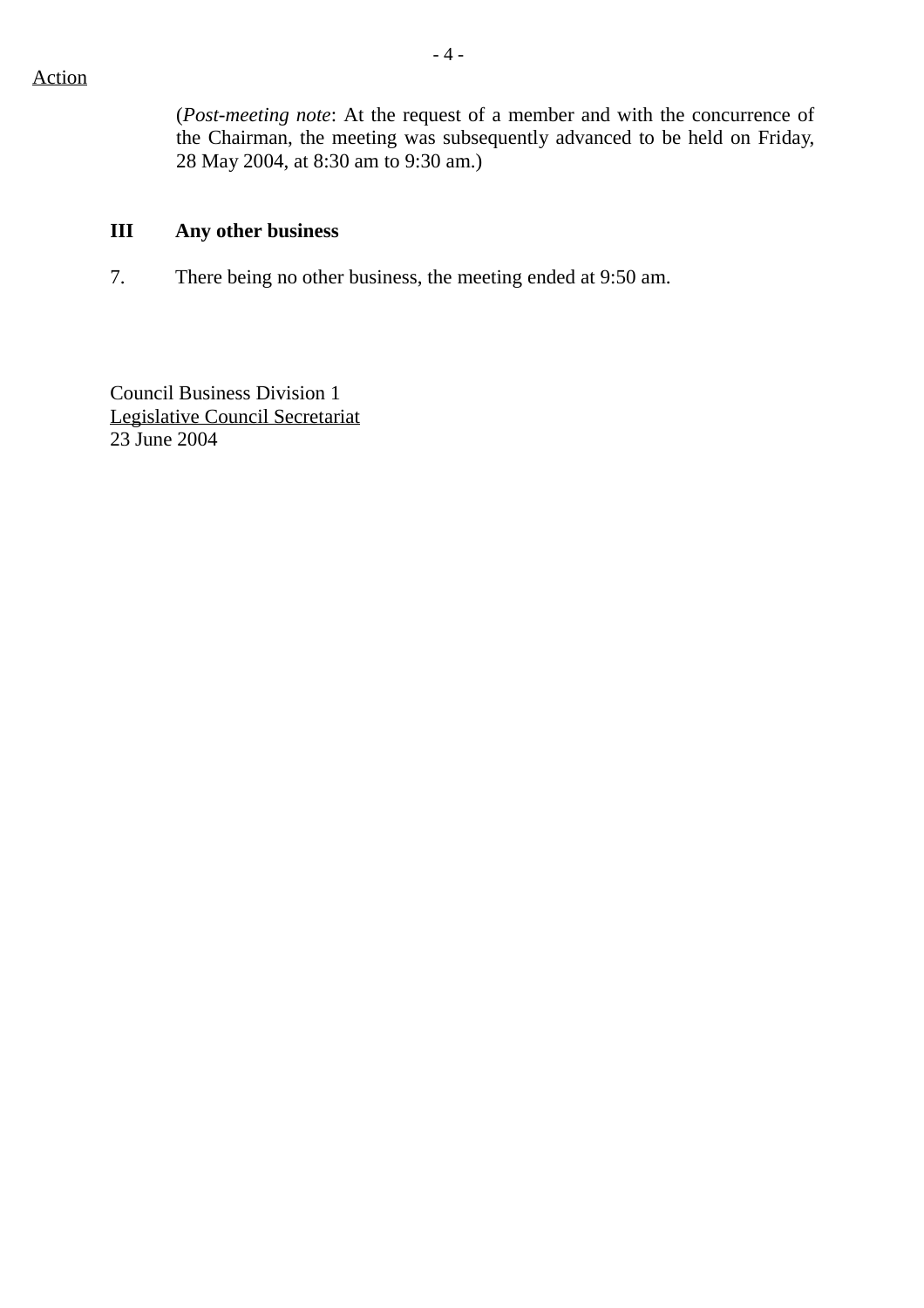(*Post-meeting note*: At the request of a member and with the concurrence of the Chairman, the meeting was subsequently advanced to be held on Friday, 28 May 2004, at 8:30 am to 9:30 am.)

### **III Any other business**

7. There being no other business, the meeting ended at 9:50 am.

Council Business Division 1 Legislative Council Secretariat 23 June 2004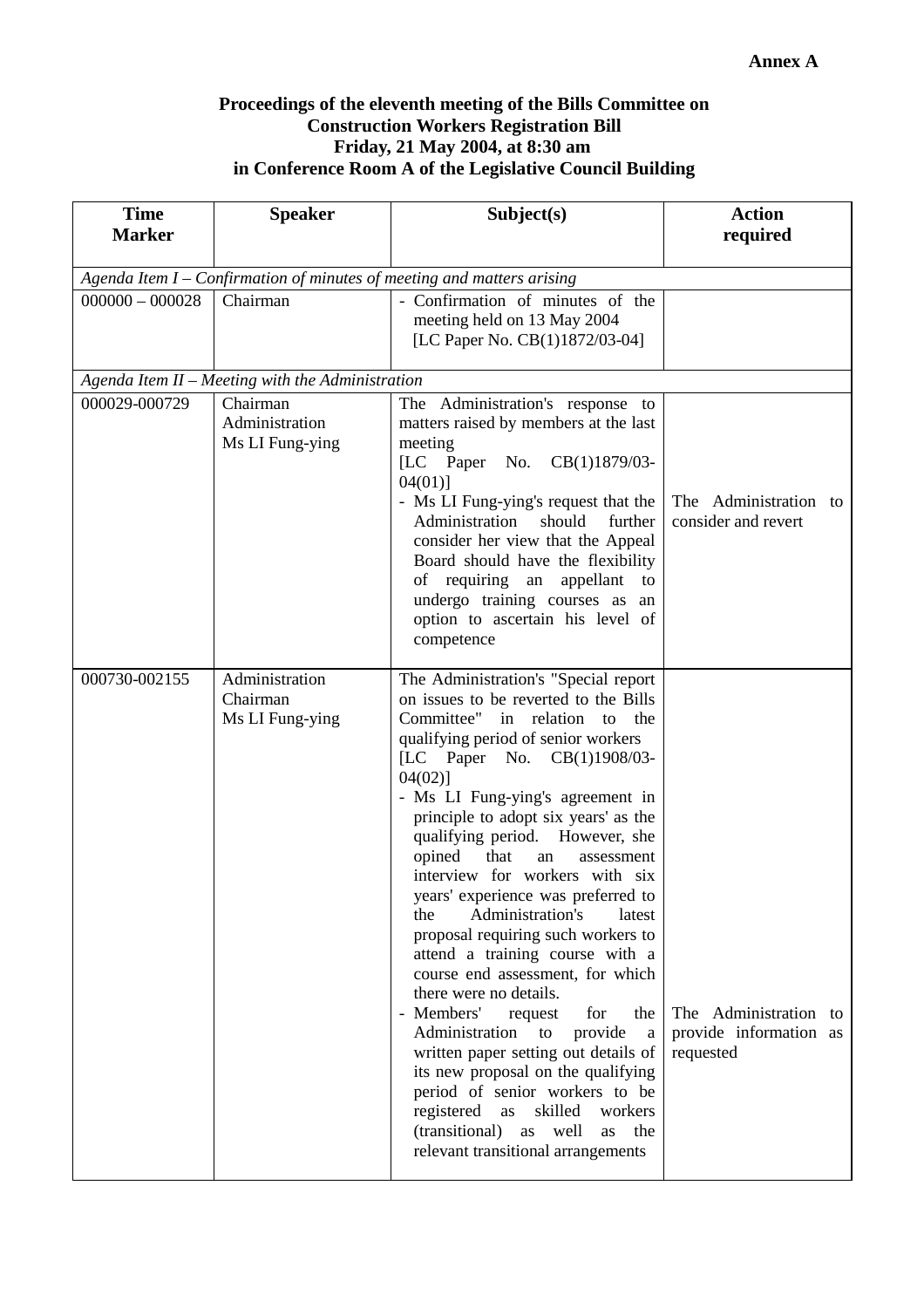#### **Proceedings of the eleventh meeting of the Bills Committee on Construction Workers Registration Bill Friday, 21 May 2004, at 8:30 am in Conference Room A of the Legislative Council Building**

| <b>Time</b><br><b>Marker</b> | <b>Speaker</b>                                   | Subject(s)                                                                                                                                                                                                                                                                                                                                                                                                                                                                                                                                                                                                                                                                                                                                                                                                                                                                                                                                        | <b>Action</b><br>required                                    |
|------------------------------|--------------------------------------------------|---------------------------------------------------------------------------------------------------------------------------------------------------------------------------------------------------------------------------------------------------------------------------------------------------------------------------------------------------------------------------------------------------------------------------------------------------------------------------------------------------------------------------------------------------------------------------------------------------------------------------------------------------------------------------------------------------------------------------------------------------------------------------------------------------------------------------------------------------------------------------------------------------------------------------------------------------|--------------------------------------------------------------|
|                              |                                                  |                                                                                                                                                                                                                                                                                                                                                                                                                                                                                                                                                                                                                                                                                                                                                                                                                                                                                                                                                   |                                                              |
|                              |                                                  | Agenda Item $I$ – Confirmation of minutes of meeting and matters arising                                                                                                                                                                                                                                                                                                                                                                                                                                                                                                                                                                                                                                                                                                                                                                                                                                                                          |                                                              |
| $000000 - 000028$            | Chairman                                         | - Confirmation of minutes of the<br>meeting held on 13 May 2004<br>[LC Paper No. CB(1)1872/03-04]                                                                                                                                                                                                                                                                                                                                                                                                                                                                                                                                                                                                                                                                                                                                                                                                                                                 |                                                              |
|                              | Agenda Item II - Meeting with the Administration |                                                                                                                                                                                                                                                                                                                                                                                                                                                                                                                                                                                                                                                                                                                                                                                                                                                                                                                                                   |                                                              |
| 000029-000729                | Chairman<br>Administration<br>Ms LI Fung-ying    | The Administration's response to<br>matters raised by members at the last<br>meeting<br>[LC Paper No. CB(1)1879/03-<br>$04(01)$ ]<br>- Ms LI Fung-ying's request that the<br>Administration<br>should<br>further<br>consider her view that the Appeal<br>Board should have the flexibility<br>of requiring an appellant<br>to<br>undergo training courses as an<br>option to ascertain his level of<br>competence                                                                                                                                                                                                                                                                                                                                                                                                                                                                                                                                 | The Administration to<br>consider and revert                 |
| 000730-002155                | Administration<br>Chairman<br>Ms LI Fung-ying    | The Administration's "Special report<br>on issues to be reverted to the Bills<br>Committee" in relation<br>to<br>the<br>qualifying period of senior workers<br>[LC Paper No. CB(1)1908/03-<br>$04(02)$ ]<br>- Ms LI Fung-ying's agreement in<br>principle to adopt six years' as the<br>qualifying period. However, she<br>opined that<br>an<br>assessment<br>interview for workers with six<br>years' experience was preferred to<br>Administration's<br>the<br>latest<br>proposal requiring such workers to<br>attend a training course with a<br>course end assessment, for which<br>there were no details.<br>- Members'<br>for<br>request<br>the<br>Administration<br>to<br>provide<br>a<br>written paper setting out details of<br>its new proposal on the qualifying<br>period of senior workers to be<br>registered<br>skilled<br>as<br>workers<br>(transitional)<br>as<br>well<br>the<br><b>as</b><br>relevant transitional arrangements | The Administration to<br>provide information as<br>requested |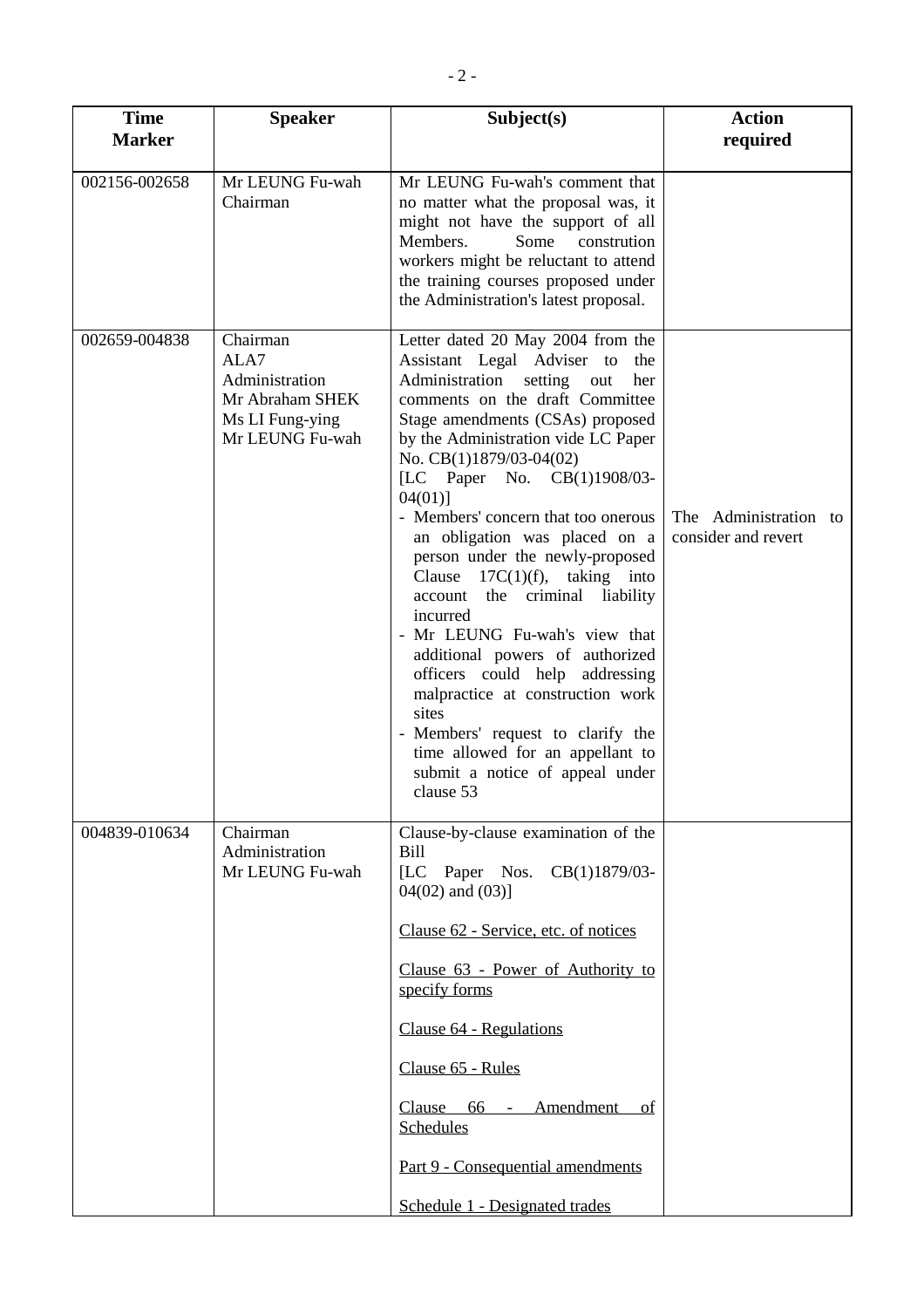| <b>Time</b>   | <b>Speaker</b>                                                                              | Subject(s)                                                                                                                                                                                                                                                                                                                                                                                                                                                                                                                                                                                                                                                                                                                                                                    | <b>Action</b>                                |
|---------------|---------------------------------------------------------------------------------------------|-------------------------------------------------------------------------------------------------------------------------------------------------------------------------------------------------------------------------------------------------------------------------------------------------------------------------------------------------------------------------------------------------------------------------------------------------------------------------------------------------------------------------------------------------------------------------------------------------------------------------------------------------------------------------------------------------------------------------------------------------------------------------------|----------------------------------------------|
| <b>Marker</b> |                                                                                             |                                                                                                                                                                                                                                                                                                                                                                                                                                                                                                                                                                                                                                                                                                                                                                               | required                                     |
| 002156-002658 | Mr LEUNG Fu-wah<br>Chairman                                                                 | Mr LEUNG Fu-wah's comment that<br>no matter what the proposal was, it<br>might not have the support of all<br>Members.<br>Some<br>constrution<br>workers might be reluctant to attend<br>the training courses proposed under<br>the Administration's latest proposal.                                                                                                                                                                                                                                                                                                                                                                                                                                                                                                         |                                              |
| 002659-004838 | Chairman<br>ALA7<br>Administration<br>Mr Abraham SHEK<br>Ms LI Fung-ying<br>Mr LEUNG Fu-wah | Letter dated 20 May 2004 from the<br>Assistant Legal Adviser to<br>the<br>Administration setting<br>out<br>her<br>comments on the draft Committee<br>Stage amendments (CSAs) proposed<br>by the Administration vide LC Paper<br>No. CB(1)1879/03-04(02)<br>[LC Paper No. CB(1)1908/03-<br>$04(01)$ ]<br>- Members' concern that too onerous<br>an obligation was placed on a<br>person under the newly-proposed<br>Clause $17C(1)(f)$ , taking into<br>account the criminal liability<br>incurred<br>- Mr LEUNG Fu-wah's view that<br>additional powers of authorized<br>officers could help addressing<br>malpractice at construction work<br>sites<br>- Members' request to clarify the<br>time allowed for an appellant to<br>submit a notice of appeal under<br>clause 53 | The Administration to<br>consider and revert |
| 004839-010634 | Chairman<br>Administration<br>Mr LEUNG Fu-wah                                               | Clause-by-clause examination of the<br><b>Bill</b><br>[LC Paper Nos. CB(1)1879/03-<br>$04(02)$ and $(03)$ ]<br>Clause 62 - Service, etc. of notices<br>Clause 63 - Power of Authority to<br>specify forms<br>Clause 64 - Regulations<br>Clause 65 - Rules<br>Clause 66 - Amendment<br>οf<br>Schedules<br>Part 9 - Consequential amendments<br>Schedule 1 - Designated trades                                                                                                                                                                                                                                                                                                                                                                                                  |                                              |